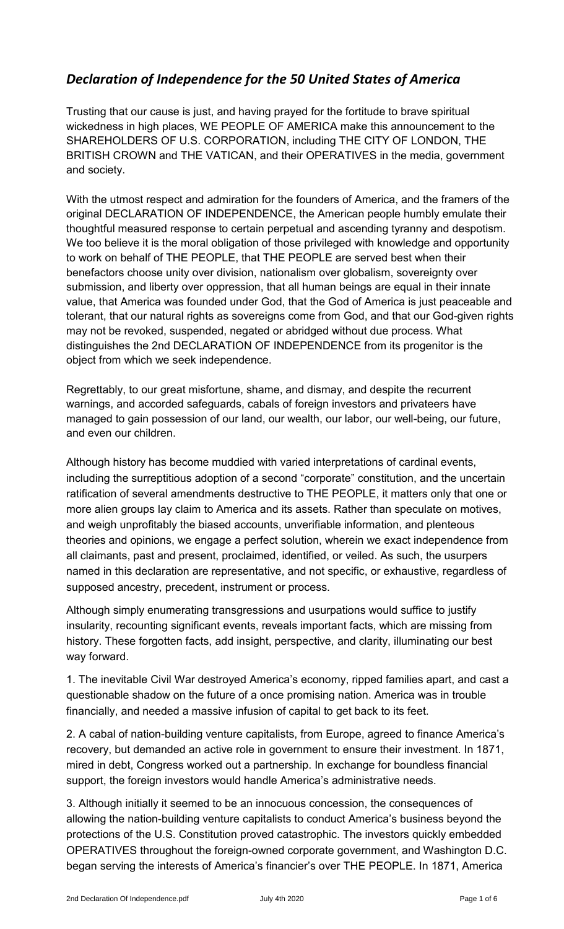## *Declaration of Independence for the 50 United States of America*

Trusting that our cause is just, and having prayed for the fortitude to brave spiritual wickedness in high places, WE PEOPLE OF AMERICA make this announcement to the SHAREHOLDERS OF U.S. CORPORATION, including THE CITY OF LONDON, THE BRITISH CROWN and THE VATICAN, and their OPERATIVES in the media, government and society.

With the utmost respect and admiration for the founders of America, and the framers of the original DECLARATION OF INDEPENDENCE, the American people humbly emulate their thoughtful measured response to certain perpetual and ascending tyranny and despotism. We too believe it is the moral obligation of those privileged with knowledge and opportunity to work on behalf of THE PEOPLE, that THE PEOPLE are served best when their benefactors choose unity over division, nationalism over globalism, sovereignty over submission, and liberty over oppression, that all human beings are equal in their innate value, that America was founded under God, that the God of America is just peaceable and tolerant, that our natural rights as sovereigns come from God, and that our God-given rights may not be revoked, suspended, negated or abridged without due process. What distinguishes the 2nd DECLARATION OF INDEPENDENCE from its progenitor is the object from which we seek independence.

Regrettably, to our great misfortune, shame, and dismay, and despite the recurrent warnings, and accorded safeguards, cabals of foreign investors and privateers have managed to gain possession of our land, our wealth, our labor, our well-being, our future, and even our children.

Although history has become muddied with varied interpretations of cardinal events, including the surreptitious adoption of a second "corporate" constitution, and the uncertain ratification of several amendments destructive to THE PEOPLE, it matters only that one or more alien groups lay claim to America and its assets. Rather than speculate on motives, and weigh unprofitably the biased accounts, unverifiable information, and plenteous theories and opinions, we engage a perfect solution, wherein we exact independence from all claimants, past and present, proclaimed, identified, or veiled. As such, the usurpers named in this declaration are representative, and not specific, or exhaustive, regardless of supposed ancestry, precedent, instrument or process.

Although simply enumerating transgressions and usurpations would suffice to justify insularity, recounting significant events, reveals important facts, which are missing from history. These forgotten facts, add insight, perspective, and clarity, illuminating our best way forward.

1. The inevitable Civil War destroyed America's economy, ripped families apart, and cast a questionable shadow on the future of a once promising nation. America was in trouble financially, and needed a massive infusion of capital to get back to its feet.

2. A cabal of nation-building venture capitalists, from Europe, agreed to finance America's recovery, but demanded an active role in government to ensure their investment. In 1871, mired in debt, Congress worked out a partnership. In exchange for boundless financial support, the foreign investors would handle America's administrative needs.

3. Although initially it seemed to be an innocuous concession, the consequences of allowing the nation-building venture capitalists to conduct America's business beyond the protections of the U.S. Constitution proved catastrophic. The investors quickly embedded OPERATIVES throughout the foreign-owned corporate government, and Washington D.C. began serving the interests of America's financier's over THE PEOPLE. In 1871, America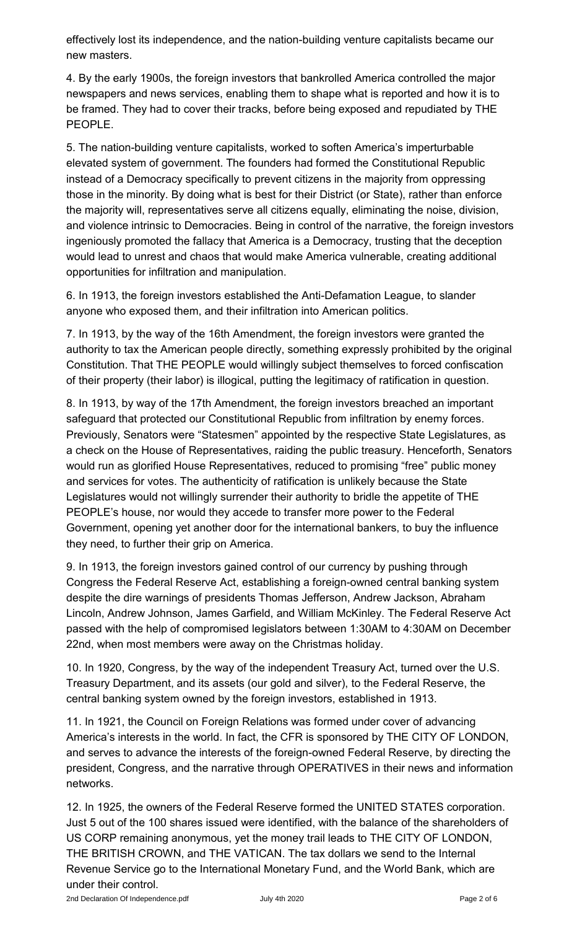effectively lost its independence, and the nation-building venture capitalists became our new masters.

4. By the early 1900s, the foreign investors that bankrolled America controlled the major newspapers and news services, enabling them to shape what is reported and how it is to be framed. They had to cover their tracks, before being exposed and repudiated by THE PEOPLE.

5. The nation-building venture capitalists, worked to soften America's imperturbable elevated system of government. The founders had formed the Constitutional Republic instead of a Democracy specifically to prevent citizens in the majority from oppressing those in the minority. By doing what is best for their District (or State), rather than enforce the majority will, representatives serve all citizens equally, eliminating the noise, division, and violence intrinsic to Democracies. Being in control of the narrative, the foreign investors ingeniously promoted the fallacy that America is a Democracy, trusting that the deception would lead to unrest and chaos that would make America vulnerable, creating additional opportunities for infiltration and manipulation.

6. In 1913, the foreign investors established the Anti-Defamation League, to slander anyone who exposed them, and their infiltration into American politics.

7. In 1913, by the way of the 16th Amendment, the foreign investors were granted the authority to tax the American people directly, something expressly prohibited by the original Constitution. That THE PEOPLE would willingly subject themselves to forced confiscation of their property (their labor) is illogical, putting the legitimacy of ratification in question.

8. In 1913, by way of the 17th Amendment, the foreign investors breached an important safeguard that protected our Constitutional Republic from infiltration by enemy forces. Previously, Senators were "Statesmen" appointed by the respective State Legislatures, as a check on the House of Representatives, raiding the public treasury. Henceforth, Senators would run as glorified House Representatives, reduced to promising "free" public money and services for votes. The authenticity of ratification is unlikely because the State Legislatures would not willingly surrender their authority to bridle the appetite of THE PEOPLE's house, nor would they accede to transfer more power to the Federal Government, opening yet another door for the international bankers, to buy the influence they need, to further their grip on America.

9. In 1913, the foreign investors gained control of our currency by pushing through Congress the Federal Reserve Act, establishing a foreign-owned central banking system despite the dire warnings of presidents Thomas Jefferson, Andrew Jackson, Abraham Lincoln, Andrew Johnson, James Garfield, and William McKinley. The Federal Reserve Act passed with the help of compromised legislators between 1:30AM to 4:30AM on December 22nd, when most members were away on the Christmas holiday.

10. In 1920, Congress, by the way of the independent Treasury Act, turned over the U.S. Treasury Department, and its assets (our gold and silver), to the Federal Reserve, the central banking system owned by the foreign investors, established in 1913.

11. In 1921, the Council on Foreign Relations was formed under cover of advancing America's interests in the world. In fact, the CFR is sponsored by THE CITY OF LONDON, and serves to advance the interests of the foreign-owned Federal Reserve, by directing the president, Congress, and the narrative through OPERATIVES in their news and information networks.

12. In 1925, the owners of the Federal Reserve formed the UNITED STATES corporation. Just 5 out of the 100 shares issued were identified, with the balance of the shareholders of US CORP remaining anonymous, yet the money trail leads to THE CITY OF LONDON, THE BRITISH CROWN, and THE VATICAN. The tax dollars we send to the Internal Revenue Service go to the International Monetary Fund, and the World Bank, which are under their control.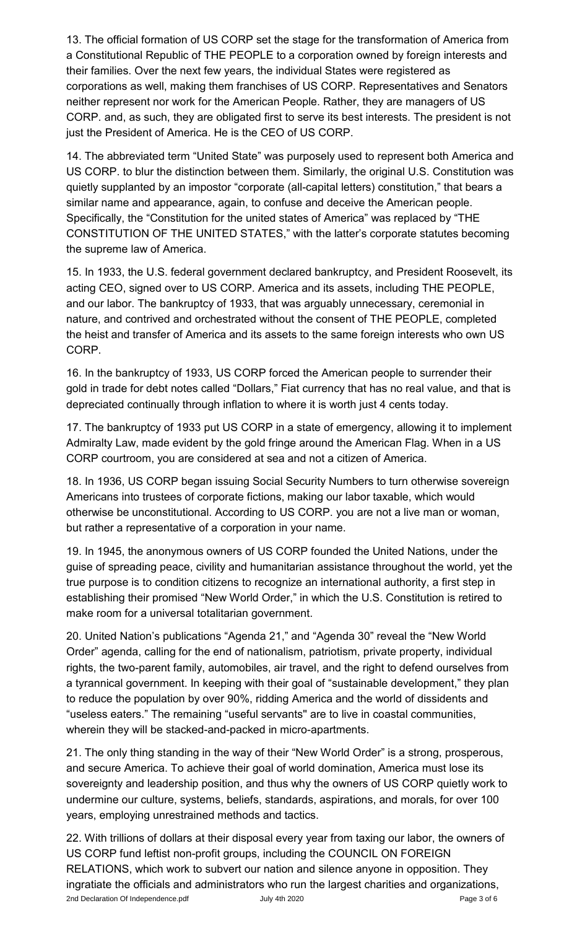13. The official formation of US CORP set the stage for the transformation of America from a Constitutional Republic of THE PEOPLE to a corporation owned by foreign interests and their families. Over the next few years, the individual States were registered as corporations as well, making them franchises of US CORP. Representatives and Senators neither represent nor work for the American People. Rather, they are managers of US CORP. and, as such, they are obligated first to serve its best interests. The president is not just the President of America. He is the CEO of US CORP.

14. The abbreviated term "United State" was purposely used to represent both America and US CORP. to blur the distinction between them. Similarly, the original U.S. Constitution was quietly supplanted by an impostor "corporate (all-capital letters) constitution," that bears a similar name and appearance, again, to confuse and deceive the American people. Specifically, the "Constitution for the united states of America" was replaced by "THE CONSTITUTION OF THE UNITED STATES," with the latter's corporate statutes becoming the supreme law of America.

15. In 1933, the U.S. federal government declared bankruptcy, and President Roosevelt, its acting CEO, signed over to US CORP. America and its assets, including THE PEOPLE, and our labor. The bankruptcy of 1933, that was arguably unnecessary, ceremonial in nature, and contrived and orchestrated without the consent of THE PEOPLE, completed the heist and transfer of America and its assets to the same foreign interests who own US CORP.

16. In the bankruptcy of 1933, US CORP forced the American people to surrender their gold in trade for debt notes called "Dollars," Fiat currency that has no real value, and that is depreciated continually through inflation to where it is worth just 4 cents today.

17. The bankruptcy of 1933 put US CORP in a state of emergency, allowing it to implement Admiralty Law, made evident by the gold fringe around the American Flag. When in a US CORP courtroom, you are considered at sea and not a citizen of America.

18. In 1936, US CORP began issuing Social Security Numbers to turn otherwise sovereign Americans into trustees of corporate fictions, making our labor taxable, which would otherwise be unconstitutional. According to US CORP. you are not a live man or woman, but rather a representative of a corporation in your name.

19. In 1945, the anonymous owners of US CORP founded the United Nations, under the guise of spreading peace, civility and humanitarian assistance throughout the world, yet the true purpose is to condition citizens to recognize an international authority, a first step in establishing their promised "New World Order," in which the U.S. Constitution is retired to make room for a universal totalitarian government.

20. United Nation's publications "Agenda 21," and "Agenda 30" reveal the "New World Order" agenda, calling for the end of nationalism, patriotism, private property, individual rights, the two-parent family, automobiles, air travel, and the right to defend ourselves from a tyrannical government. In keeping with their goal of "sustainable development," they plan to reduce the population by over 90%, ridding America and the world of dissidents and "useless eaters." The remaining "useful servants'' are to live in coastal communities, wherein they will be stacked-and-packed in micro-apartments.

21. The only thing standing in the way of their "New World Order" is a strong, prosperous, and secure America. To achieve their goal of world domination, America must lose its sovereignty and leadership position, and thus why the owners of US CORP quietly work to undermine our culture, systems, beliefs, standards, aspirations, and morals, for over 100 years, employing unrestrained methods and tactics.

22. With trillions of dollars at their disposal every year from taxing our labor, the owners of US CORP fund leftist non-profit groups, including the COUNCIL ON FOREIGN RELATIONS, which work to subvert our nation and silence anyone in opposition. They ingratiate the officials and administrators who run the largest charities and organizations, 2nd Declaration Of Independence.pdf **Canadian Accord Structure 3 of 6** and Declaration Of Independence.pdf **Page 3 of 6**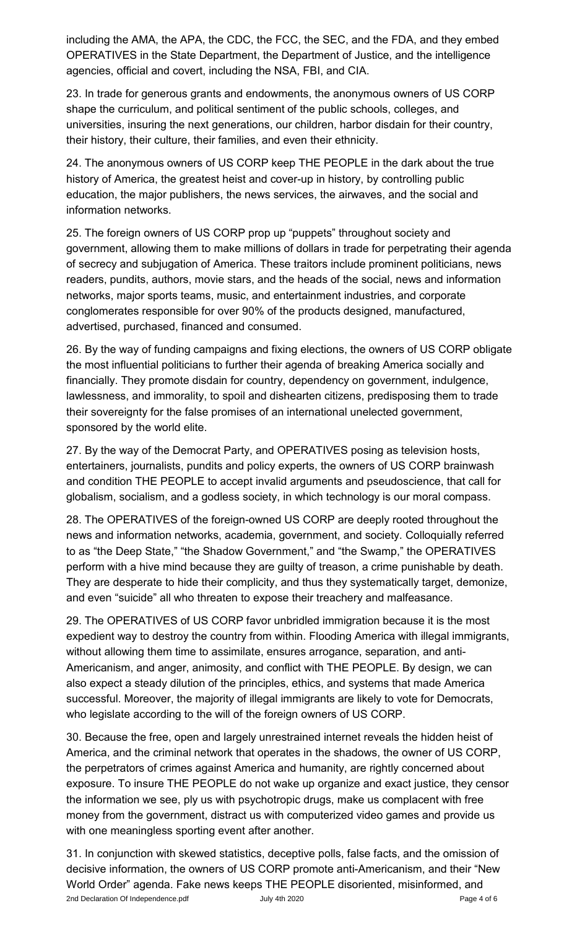including the AMA, the APA, the CDC, the FCC, the SEC, and the FDA, and they embed OPERATIVES in the State Department, the Department of Justice, and the intelligence agencies, official and covert, including the NSA, FBI, and CIA.

23. In trade for generous grants and endowments, the anonymous owners of US CORP shape the curriculum, and political sentiment of the public schools, colleges, and universities, insuring the next generations, our children, harbor disdain for their country, their history, their culture, their families, and even their ethnicity.

24. The anonymous owners of US CORP keep THE PEOPLE in the dark about the true history of America, the greatest heist and cover-up in history, by controlling public education, the major publishers, the news services, the airwaves, and the social and information networks.

25. The foreign owners of US CORP prop up "puppets" throughout society and government, allowing them to make millions of dollars in trade for perpetrating their agenda of secrecy and subjugation of America. These traitors include prominent politicians, news readers, pundits, authors, movie stars, and the heads of the social, news and information networks, major sports teams, music, and entertainment industries, and corporate conglomerates responsible for over 90% of the products designed, manufactured, advertised, purchased, financed and consumed.

26. By the way of funding campaigns and fixing elections, the owners of US CORP obligate the most influential politicians to further their agenda of breaking America socially and financially. They promote disdain for country, dependency on government, indulgence, lawlessness, and immorality, to spoil and dishearten citizens, predisposing them to trade their sovereignty for the false promises of an international unelected government, sponsored by the world elite.

27. By the way of the Democrat Party, and OPERATIVES posing as television hosts, entertainers, journalists, pundits and policy experts, the owners of US CORP brainwash and condition THE PEOPLE to accept invalid arguments and pseudoscience, that call for globalism, socialism, and a godless society, in which technology is our moral compass.

28. The OPERATIVES of the foreign-owned US CORP are deeply rooted throughout the news and information networks, academia, government, and society. Colloquially referred to as "the Deep State," "the Shadow Government," and "the Swamp," the OPERATIVES perform with a hive mind because they are guilty of treason, a crime punishable by death. They are desperate to hide their complicity, and thus they systematically target, demonize, and even "suicide" all who threaten to expose their treachery and malfeasance.

29. The OPERATIVES of US CORP favor unbridled immigration because it is the most expedient way to destroy the country from within. Flooding America with illegal immigrants, without allowing them time to assimilate, ensures arrogance, separation, and anti-Americanism, and anger, animosity, and conflict with THE PEOPLE. By design, we can also expect a steady dilution of the principles, ethics, and systems that made America successful. Moreover, the majority of illegal immigrants are likely to vote for Democrats, who legislate according to the will of the foreign owners of US CORP.

30. Because the free, open and largely unrestrained internet reveals the hidden heist of America, and the criminal network that operates in the shadows, the owner of US CORP, the perpetrators of crimes against America and humanity, are rightly concerned about exposure. To insure THE PEOPLE do not wake up organize and exact justice, they censor the information we see, ply us with psychotropic drugs, make us complacent with free money from the government, distract us with computerized video games and provide us with one meaningless sporting event after another.

31. In conjunction with skewed statistics, deceptive polls, false facts, and the omission of decisive information, the owners of US CORP promote anti-Americanism, and their "New World Order" agenda. Fake news keeps THE PEOPLE disoriented, misinformed, and 2nd Declaration Of Independence.pdf **Canadian Control Control Control Control Control Control Control Control Control Control Control Control Control Control Control Control Control Control Control Control Control Control**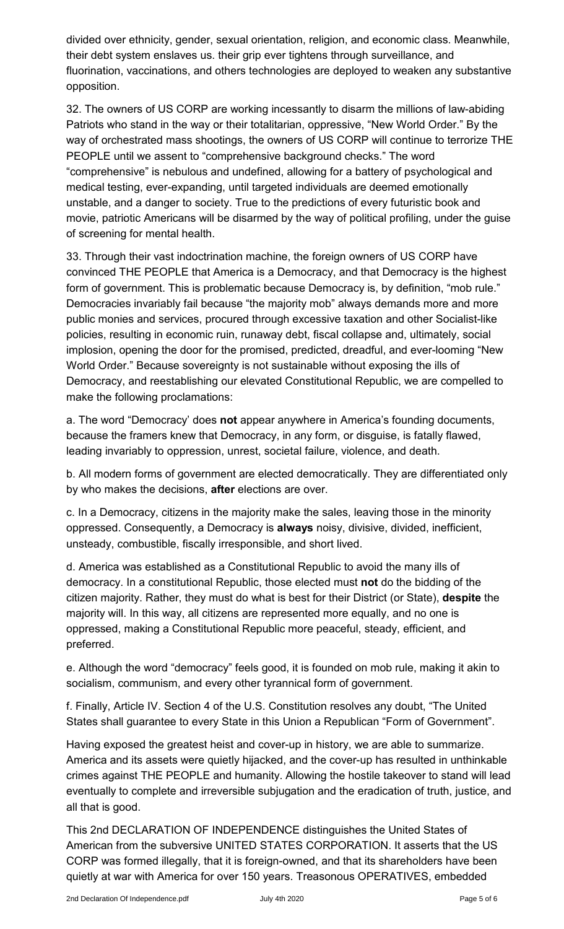divided over ethnicity, gender, sexual orientation, religion, and economic class. Meanwhile, their debt system enslaves us. their grip ever tightens through surveillance, and fluorination, vaccinations, and others technologies are deployed to weaken any substantive opposition.

32. The owners of US CORP are working incessantly to disarm the millions of law-abiding Patriots who stand in the way or their totalitarian, oppressive, "New World Order." By the way of orchestrated mass shootings, the owners of US CORP will continue to terrorize THE PEOPLE until we assent to "comprehensive background checks." The word "comprehensive" is nebulous and undefined, allowing for a battery of psychological and medical testing, ever-expanding, until targeted individuals are deemed emotionally unstable, and a danger to society. True to the predictions of every futuristic book and movie, patriotic Americans will be disarmed by the way of political profiling, under the guise of screening for mental health.

33. Through their vast indoctrination machine, the foreign owners of US CORP have convinced THE PEOPLE that America is a Democracy, and that Democracy is the highest form of government. This is problematic because Democracy is, by definition, "mob rule." Democracies invariably fail because "the majority mob" always demands more and more public monies and services, procured through excessive taxation and other Socialist-like policies, resulting in economic ruin, runaway debt, fiscal collapse and, ultimately, social implosion, opening the door for the promised, predicted, dreadful, and ever-looming "New World Order." Because sovereignty is not sustainable without exposing the ills of Democracy, and reestablishing our elevated Constitutional Republic, we are compelled to make the following proclamations:

a. The word "Democracy' does **not** appear anywhere in America's founding documents, because the framers knew that Democracy, in any form, or disguise, is fatally flawed, leading invariably to oppression, unrest, societal failure, violence, and death.

b. All modern forms of government are elected democratically. They are differentiated only by who makes the decisions, **after** elections are over.

c. In a Democracy, citizens in the majority make the sales, leaving those in the minority oppressed. Consequently, a Democracy is **always** noisy, divisive, divided, inefficient, unsteady, combustible, fiscally irresponsible, and short lived.

d. America was established as a Constitutional Republic to avoid the many ills of democracy. In a constitutional Republic, those elected must **not** do the bidding of the citizen majority. Rather, they must do what is best for their District (or State), **despite** the majority will. In this way, all citizens are represented more equally, and no one is oppressed, making a Constitutional Republic more peaceful, steady, efficient, and preferred.

e. Although the word "democracy" feels good, it is founded on mob rule, making it akin to socialism, communism, and every other tyrannical form of government.

f. Finally, Article IV. Section 4 of the U.S. Constitution resolves any doubt, "The United States shall guarantee to every State in this Union a Republican "Form of Government".

Having exposed the greatest heist and cover-up in history, we are able to summarize. America and its assets were quietly hijacked, and the cover-up has resulted in unthinkable crimes against THE PEOPLE and humanity. Allowing the hostile takeover to stand will lead eventually to complete and irreversible subjugation and the eradication of truth, justice, and all that is good.

This 2nd DECLARATION OF INDEPENDENCE distinguishes the United States of American from the subversive UNITED STATES CORPORATION. It asserts that the US CORP was formed illegally, that it is foreign-owned, and that its shareholders have been quietly at war with America for over 150 years. Treasonous OPERATIVES, embedded